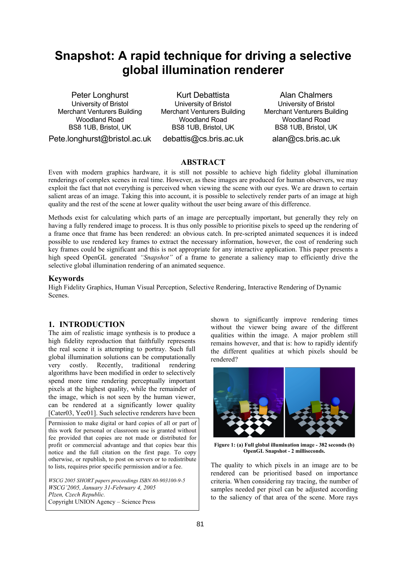# **Snapshot: A rapid technique for driving a selective global illumination renderer**

Peter Longhurst University of Bristol Merchant Venturers Building Woodland Road BS8 1UB, Bristol, UK Pete.longhurst@bristol.ac.uk

Kurt Debattista University of Bristol Merchant Venturers Building Woodland Road BS8 1UB, Bristol, UK debattis@cs.bris.ac.uk

Alan Chalmers University of Bristol Merchant Venturers Building Woodland Road BS8 1UB, Bristol, UK alan@cs.bris.ac.uk

# **ABSTRACT**

Even with modern graphics hardware, it is still not possible to achieve high fidelity global illumination renderings of complex scenes in real time. However, as these images are produced for human observers, we may exploit the fact that not everything is perceived when viewing the scene with our eyes. We are drawn to certain salient areas of an image. Taking this into account, it is possible to selectively render parts of an image at high quality and the rest of the scene at lower quality without the user being aware of this difference.

Methods exist for calculating which parts of an image are perceptually important, but generally they rely on having a fully rendered image to process. It is thus only possible to prioritise pixels to speed up the rendering of a frame once that frame has been rendered: an obvious catch. In pre-scripted animated sequences it is indeed possible to use rendered key frames to extract the necessary information, however, the cost of rendering such key frames could be significant and this is not appropriate for any interactive application. This paper presents a high speed OpenGL generated *"Snapshot"* of a frame to generate a saliency map to efficiently drive the selective global illumination rendering of an animated sequence.

#### **Keywords**

High Fidelity Graphics, Human Visual Perception, Selective Rendering, Interactive Rendering of Dynamic Scenes.

## **1. INTRODUCTION**

The aim of realistic image synthesis is to produce a high fidelity reproduction that faithfully represents the real scene it is attempting to portray. Such full global illumination solutions can be computationally very costly. Recently, traditional rendering algorithms have been modified in order to selectively spend more time rendering perceptually important pixels at the highest quality, while the remainder of the image, which is not seen by the human viewer, can be rendered at a significantly lower quality [Cater03, Yee01]. Such selective renderers have been

Permission to make digital or hard copies of all or part of this work for personal or classroom use is granted without fee provided that copies are not made or distributed for profit or commercial advantage and that copies bear this notice and the full citation on the first page. To copy otherwise, or republish, to post on servers or to redistribute to lists, requires prior specific permission and/or a fee.

*WSCG 2005 SHORT papers proceedings ISBN 80-903100-9-5 WSCG'2005, January 31-February 4, 2005 Plzen, Czech Republic.*  Copyright UNION Agency – Science Press

shown to significantly improve rendering times without the viewer being aware of the different qualities within the image. A major problem still remains however, and that is: how to rapidly identify the different qualities at which pixels should be rendered?



**Figure 1: (a) Full global illumination image - 382 seconds (b) OpenGL Snapshot - 2 milliseconds.** 

The quality to which pixels in an image are to be rendered can be prioritised based on importance criteria. When considering ray tracing, the number of samples needed per pixel can be adjusted according to the saliency of that area of the scene. More rays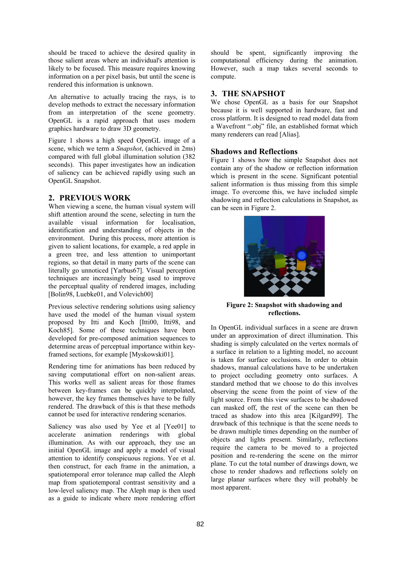should be traced to achieve the desired quality in those salient areas where an individual's attention is likely to be focused. This measure requires knowing information on a per pixel basis, but until the scene is rendered this information is unknown.

An alternative to actually tracing the rays, is to develop methods to extract the necessary information from an interpretation of the scene geometry. OpenGL is a rapid approach that uses modern graphics hardware to draw 3D geometry.

Figure 1 shows a high speed OpenGL image of a scene, which we term a *Snapshot*, (achieved in 2ms) compared with full global illumination solution (382 seconds). This paper investigates how an indication of saliency can be achieved rapidly using such an OpenGL Snapshot.

# **2. PREVIOUS WORK**

When viewing a scene, the human visual system will shift attention around the scene, selecting in turn the available visual information for localisation, identification and understanding of objects in the environment. During this process, more attention is given to salient locations, for example, a red apple in a green tree, and less attention to unimportant regions, so that detail in many parts of the scene can literally go unnoticed [Yarbus67]. Visual perception techniques are increasingly being used to improve the perceptual quality of rendered images, including [Bolin98, Luebke01, and Volevich00]

Previous selective rendering solutions using saliency have used the model of the human visual system proposed by Itti and Koch [Itti00, Itti98, and Koch85]. Some of these techniques have been developed for pre-composed animation sequences to determine areas of perceptual importance within keyframed sections, for example [Myskowski01].

Rendering time for animations has been reduced by saving computational effort on non-salient areas. This works well as salient areas for those frames between key-frames can be quickly interpolated, however, the key frames themselves have to be fully rendered. The drawback of this is that these methods cannot be used for interactive rendering scenarios.

Saliency was also used by Yee et al [Yee01] to accelerate animation renderings with global illumination. As with our approach, they use an initial OpenGL image and apply a model of visual attention to identify conspicuous regions. Yee et al. then construct, for each frame in the animation, a spatiotemporal error tolerance map called the Aleph map from spatiotemporal contrast sensitivity and a low-level saliency map. The Aleph map is then used as a guide to indicate where more rendering effort

should be spent, significantly improving the computational efficiency during the animation. However, such a map takes several seconds to compute.

# **3. THE SNAPSHOT**

We chose OpenGL as a basis for our Snapshot because it is well supported in hardware, fast and cross platform. It is designed to read model data from a Wavefront ".obj" file, an established format which many renderers can read [Alias].

#### **Shadows and Reflections**

Figure 1 shows how the simple Snapshot does not contain any of the shadow or reflection information which is present in the scene. Significant potential salient information is thus missing from this simple image. To overcome this, we have included simple shadowing and reflection calculations in Snapshot, as can be seen in Figure 2.



**Figure 2: Snapshot with shadowing and reflections.** 

In OpenGL individual surfaces in a scene are drawn under an approximation of direct illumination. This shading is simply calculated on the vertex normals of a surface in relation to a lighting model, no account is taken for surface occlusions. In order to obtain shadows, manual calculations have to be undertaken to project occluding geometry onto surfaces. A standard method that we choose to do this involves observing the scene from the point of view of the light source. From this view surfaces to be shadowed can masked off, the rest of the scene can then be traced as shadow into this area [Kilgard99]. The drawback of this technique is that the scene needs to be drawn multiple times depending on the number of objects and lights present. Similarly, reflections require the camera to be moved to a projected position and re-rendering the scene on the mirror plane. To cut the total number of drawings down, we chose to render shadows and reflections solely on large planar surfaces where they will probably be most apparent.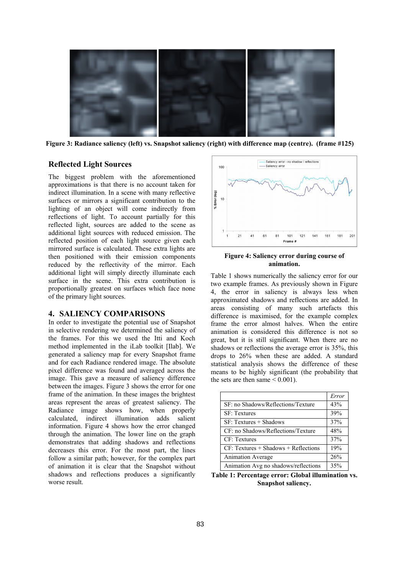

**Figure 3: Radiance saliency (left) vs. Snapshot saliency (right) with difference map (centre). (frame #125)** 

# **Reflected Light Sources**

The biggest problem with the aforementioned approximations is that there is no account taken for indirect illumination. In a scene with many reflective surfaces or mirrors a significant contribution to the lighting of an object will come indirectly from reflections of light. To account partially for this reflected light, sources are added to the scene as additional light sources with reduced emission. The reflected position of each light source given each mirrored surface is calculated. These extra lights are then positioned with their emission components reduced by the reflectivity of the mirror. Each additional light will simply directly illuminate each surface in the scene. This extra contribution is proportionally greatest on surfaces which face none of the primary light sources.

# **4. SALIENCY COMPARISONS**

In order to investigate the potential use of Snapshot in selective rendering we determined the saliency of the frames. For this we used the Itti and Koch method implemented in the iLab toolkit [Ilab]. We generated a saliency map for every Snapshot frame and for each Radiance rendered image. The absolute pixel difference was found and averaged across the image. This gave a measure of saliency difference between the images. Figure 3 shows the error for one frame of the animation. In these images the brightest areas represent the areas of greatest saliency. The Radiance image shows how, when properly calculated, indirect illumination adds salient information. Figure 4 shows how the error changed through the animation. The lower line on the graph demonstrates that adding shadows and reflections decreases this error. For the most part, the lines follow a similar path; however, for the complex part of animation it is clear that the Snapshot without shadows and reflections produces a significantly worse result.



**Figure 4: Saliency error during course of animation.** 

Table 1 shows numerically the saliency error for our two example frames. As previously shown in Figure 4, the error in saliency is always less when approximated shadows and reflections are added. In areas consisting of many such artefacts this difference is maximised, for the example complex frame the error almost halves. When the entire animation is considered this difference is not so great, but it is still significant. When there are no shadows or reflections the average error is 35%, this drops to 26% when these are added. A standard statistical analysis shows the difference of these means to be highly significant (the probability that the sets are then same  $\leq 0.001$ ).

|                                        | Error |
|----------------------------------------|-------|
| SF: no Shadows/Reflections/Texture     | 43%   |
| <b>SF: Textures</b>                    | 39%   |
| $SF: Textures + Shadows$               | 37%   |
| CF: no Shadows/Reflections/Texture     | 48%   |
| CF: Textures                           | 37%   |
| $CF: Textures + Shadows + Reflections$ | 19%   |
| <b>Animation Average</b>               | 26%   |
| Animation Avg no shadows/reflections   | 35%   |

**Table 1: Percentage error: Global illumination vs. Snapshot saliency.**